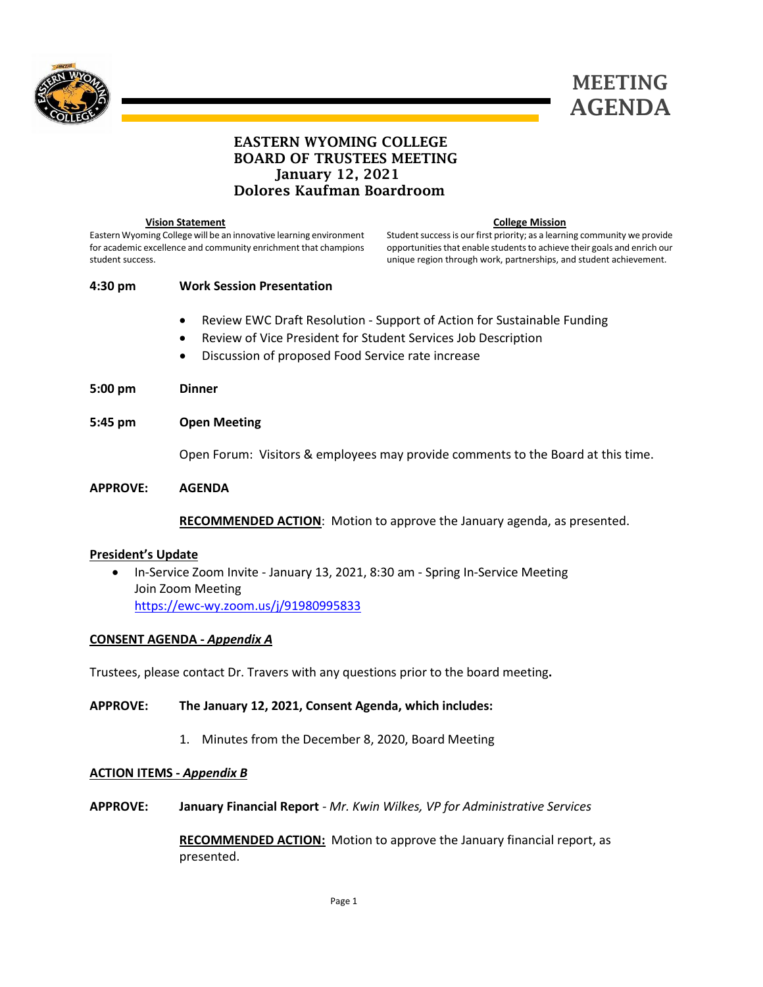



# EASTERN WYOMING COLLEGE BOARD OF TRUSTEES MEETING January 12, 2021 Dolores Kaufman Boardroom

 **Vision Statement**

Eastern Wyoming College will be an innovative learning environment for academic excellence and community enrichment that champions student success.

#### **College Mission**

Student success is our first priority; as a learning community we provide opportunities that enable students to achieve their goals and enrich our unique region through work, partnerships, and student achievement.

# **4:30 pm Work Session Presentation**

- Review EWC Draft Resolution Support of Action for Sustainable Funding
- Review of Vice President for Student Services Job Description
- Discussion of proposed Food Service rate increase
- **5:00 pm Dinner**
- **5:45 pm Open Meeting**

Open Forum: Visitors & employees may provide comments to the Board at this time.

### **APPROVE: AGENDA**

**RECOMMENDED ACTION**: Motion to approve the January agenda, as presented.

# **President's Update**

• In-Service Zoom Invite - January 13, 2021, 8:30 am - Spring In-Service Meeting Join Zoom Meeting <https://ewc-wy.zoom.us/j/91980995833>

# **CONSENT AGENDA -** *Appendix A*

Trustees, please contact Dr. Travers with any questions prior to the board meeting**.**

**APPROVE: The January 12, 2021, Consent Agenda, which includes:**

1. Minutes from the December 8, 2020, Board Meeting

#### **ACTION ITEMS -** *Appendix B*

**APPROVE: January Financial Report** *- Mr. Kwin Wilkes, VP for Administrative Services*

**RECOMMENDED ACTION:** Motion to approve the January financial report, as presented.